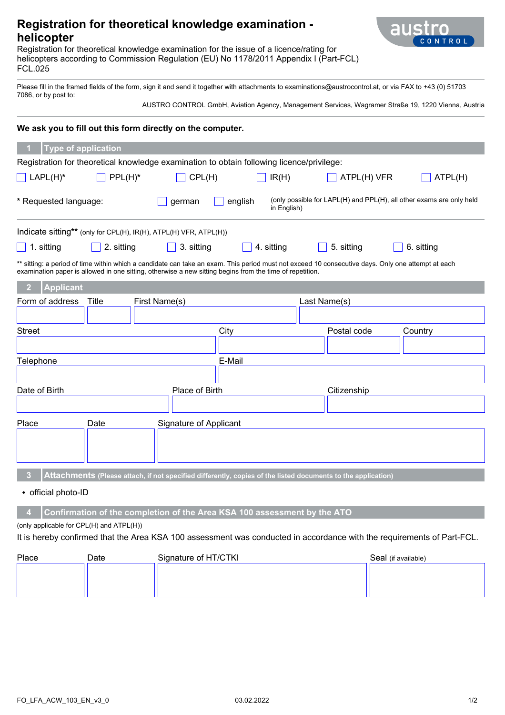# **Registration for theoretical knowledge examination helicopter**



Registration for theoretical knowledge examination for the issue of a licence/rating for helicopters according to Commission Regulation (EU) No 1178/2011 Appendix I (Part-FCL) FCL.025

Please fill in the framed fields of the form, sign it and send it together with attachments to examinations@austrocontrol.at, or via FAX to +43 (0) 51703 7086, or by post to:

AUSTRO CONTROL GmbH, Aviation Agency, Management Services, Wagramer Straße 19, 1220 Vienna, Austria

### **We ask you to fill out this form directly on the computer.**

| <b>Type of application</b>                                                                                                                                                                                                                                    |                               |              |                        |            |  |  |
|---------------------------------------------------------------------------------------------------------------------------------------------------------------------------------------------------------------------------------------------------------------|-------------------------------|--------------|------------------------|------------|--|--|
| Registration for theoretical knowledge examination to obtain following licence/privilege:                                                                                                                                                                     |                               |              |                        |            |  |  |
| $PPL(H)^*$<br>$LAPL(H)^*$<br>$\perp$                                                                                                                                                                                                                          | CPL(H)                        | $\Box$ IR(H) | ATPL(H) VFR<br>ATPL(H) |            |  |  |
| (only possible for LAPL(H) and PPL(H), all other exams are only held<br>* Requested language:<br>english<br>german<br>in English)                                                                                                                             |                               |              |                        |            |  |  |
| Indicate sitting** (only for CPL(H), IR(H), ATPL(H) VFR, ATPL(H))                                                                                                                                                                                             |                               |              |                        |            |  |  |
| 2. sitting<br>1. sitting                                                                                                                                                                                                                                      | 3. sitting                    | 4. sitting   | 5. sitting             | 6. sitting |  |  |
| ** sitting: a period of time within which a candidate can take an exam. This period must not exceed 10 consecutive days. Only one attempt at each<br>examination paper is allowed in one sitting, otherwise a new sitting begins from the time of repetition. |                               |              |                        |            |  |  |
| <b>Applicant</b><br>$\overline{2}$                                                                                                                                                                                                                            |                               |              |                        |            |  |  |
| Form of address<br>Title                                                                                                                                                                                                                                      | First Name(s)                 |              | Last Name(s)           |            |  |  |
|                                                                                                                                                                                                                                                               |                               |              |                        |            |  |  |
| <b>Street</b>                                                                                                                                                                                                                                                 |                               | City         | Postal code            | Country    |  |  |
|                                                                                                                                                                                                                                                               |                               |              |                        |            |  |  |
| Telephone                                                                                                                                                                                                                                                     |                               | E-Mail       |                        |            |  |  |
|                                                                                                                                                                                                                                                               |                               |              |                        |            |  |  |
| Date of Birth<br>Place of Birth                                                                                                                                                                                                                               |                               |              | Citizenship            |            |  |  |
|                                                                                                                                                                                                                                                               |                               |              |                        |            |  |  |
| Place<br>Date                                                                                                                                                                                                                                                 | <b>Signature of Applicant</b> |              |                        |            |  |  |
|                                                                                                                                                                                                                                                               |                               |              |                        |            |  |  |
| 3<br>Attachments (Please attach, if not specified differently, copies of the listed documents to the application)                                                                                                                                             |                               |              |                        |            |  |  |
| • official photo-ID                                                                                                                                                                                                                                           |                               |              |                        |            |  |  |

#### **4 Confirmation of the completion of the Area KSA 100 assessment by the ATO**

(only applicable for CPL(H) and ATPL(H))

#### It is hereby confirmed that the Area KSA 100 assessment was conducted in accordance with the requirements of Part-FCL.

| Place | Date | Signature of HT/CTKI | Seal (if available) |
|-------|------|----------------------|---------------------|
|       |      |                      |                     |
|       |      |                      |                     |
|       |      |                      |                     |